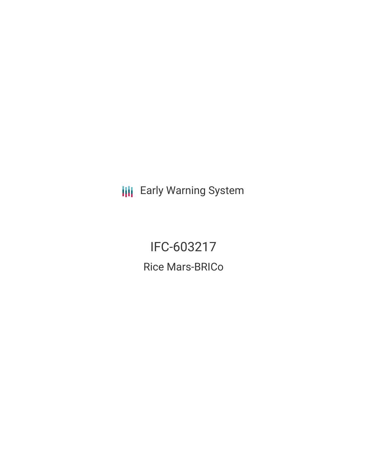**III** Early Warning System

IFC-603217 Rice Mars-BRICo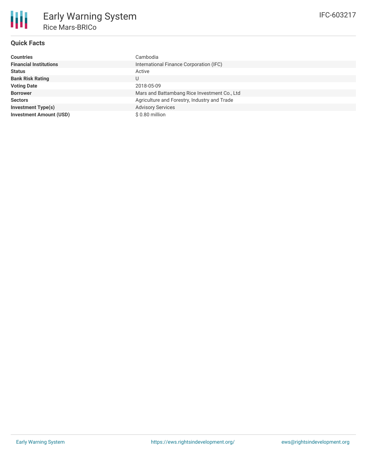## **Quick Facts**

朋

| <b>Countries</b>               | Cambodia                                     |  |  |  |
|--------------------------------|----------------------------------------------|--|--|--|
| <b>Financial Institutions</b>  | International Finance Corporation (IFC)      |  |  |  |
| <b>Status</b>                  | Active                                       |  |  |  |
| <b>Bank Risk Rating</b>        | U                                            |  |  |  |
| <b>Voting Date</b>             | 2018-05-09                                   |  |  |  |
| <b>Borrower</b>                | Mars and Battambang Rice Investment Co., Ltd |  |  |  |
| <b>Sectors</b>                 | Agriculture and Forestry, Industry and Trade |  |  |  |
| <b>Investment Type(s)</b>      | <b>Advisory Services</b>                     |  |  |  |
| <b>Investment Amount (USD)</b> | \$0.80 million                               |  |  |  |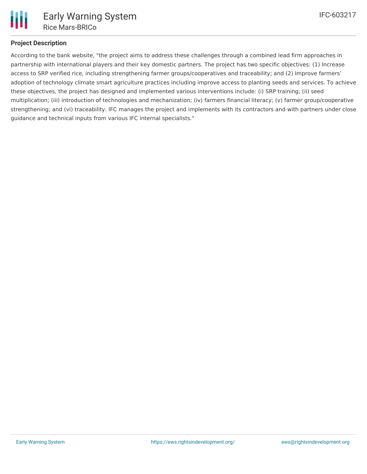

## **Project Description**

According to the bank website, "the project aims to address these challenges through a combined lead firm approaches in partnership with international players and their key domestic partners. The project has two specific objectives: (1) Increase access to SRP verified rice, including strengthening farmer groups/cooperatives and traceability; and (2) Improve farmers' adoption of technology climate smart agriculture practices including improve access to planting seeds and services. To achieve these objectives, the project has designed and implemented various interventions include: (i) SRP training; (ii) seed multiplication; (iii) introduction of technologies and mechanization; (iv) farmers financial literacy; (v) farmer group/cooperative strengthening; and (vi) traceability. IFC manages the project and implements with its contractors and with partners under close guidance and technical inputs from various IFC internal specialists."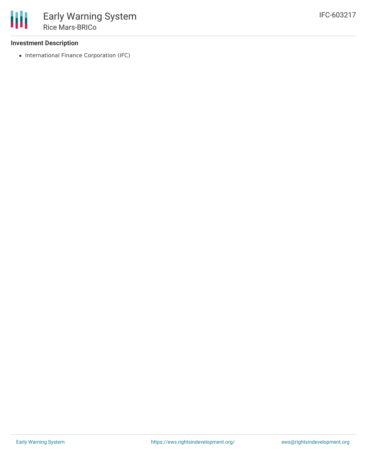### **Investment Description**

• International Finance Corporation (IFC)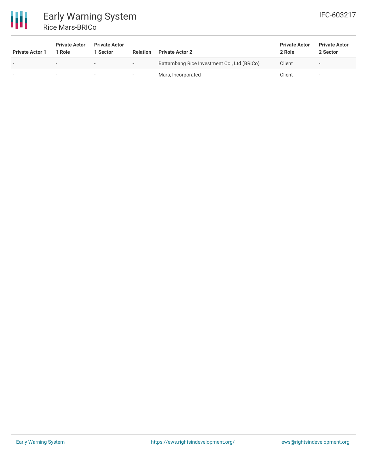

# Early Warning System Rice Mars-BRICo

| <b>Private Actor 1</b> | <b>Private Actor</b><br>1 Role | <b>Private Actor</b><br>1 Sector | <b>Relation</b>          | <b>Private Actor 2</b>                      | <b>Private Actor</b><br>2 Role | <b>Private Actor</b><br>2 Sector |
|------------------------|--------------------------------|----------------------------------|--------------------------|---------------------------------------------|--------------------------------|----------------------------------|
|                        |                                | $\overline{\phantom{0}}$         | $\overline{\phantom{a}}$ | Battambang Rice Investment Co., Ltd (BRICo) | Client                         | -                                |
|                        |                                | $\overline{\phantom{0}}$         | $\overline{\phantom{a}}$ | Mars, Incorporated                          | Client                         |                                  |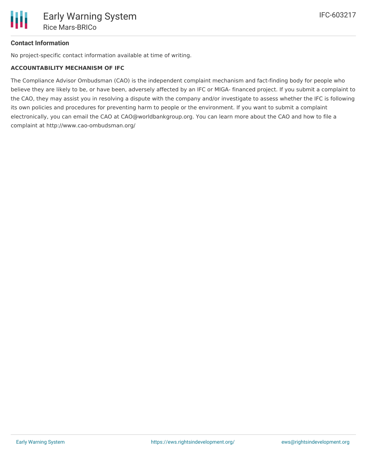## **Contact Information**

No project-specific contact information available at time of writing.

#### **ACCOUNTABILITY MECHANISM OF IFC**

The Compliance Advisor Ombudsman (CAO) is the independent complaint mechanism and fact-finding body for people who believe they are likely to be, or have been, adversely affected by an IFC or MIGA- financed project. If you submit a complaint to the CAO, they may assist you in resolving a dispute with the company and/or investigate to assess whether the IFC is following its own policies and procedures for preventing harm to people or the environment. If you want to submit a complaint electronically, you can email the CAO at CAO@worldbankgroup.org. You can learn more about the CAO and how to file a complaint at http://www.cao-ombudsman.org/